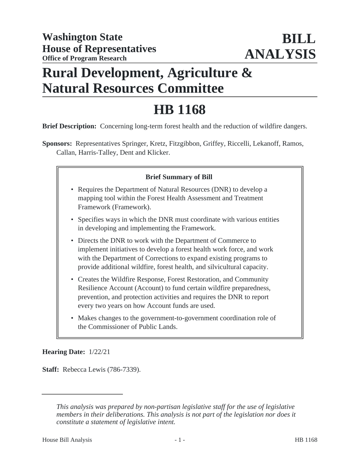# **Rural Development, Agriculture & Natural Resources Committee**

# **HB 1168**

**Brief Description:** Concerning long-term forest health and the reduction of wildfire dangers.

**Sponsors:** Representatives Springer, Kretz, Fitzgibbon, Griffey, Riccelli, Lekanoff, Ramos, Callan, Harris-Talley, Dent and Klicker.

# **Brief Summary of Bill**

- Requires the Department of Natural Resources (DNR) to develop a mapping tool within the Forest Health Assessment and Treatment Framework (Framework).
- Specifies ways in which the DNR must coordinate with various entities in developing and implementing the Framework.
- Directs the DNR to work with the Department of Commerce to implement initiatives to develop a forest health work force, and work with the Department of Corrections to expand existing programs to provide additional wildfire, forest health, and silvicultural capacity.
- Creates the Wildfire Response, Forest Restoration, and Community Resilience Account (Account) to fund certain wildfire preparedness, prevention, and protection activities and requires the DNR to report every two years on how Account funds are used.
- Makes changes to the government-to-government coordination role of the Commissioner of Public Lands.

#### **Hearing Date:** 1/22/21

**Staff:** Rebecca Lewis (786-7339).

*This analysis was prepared by non-partisan legislative staff for the use of legislative members in their deliberations. This analysis is not part of the legislation nor does it constitute a statement of legislative intent.*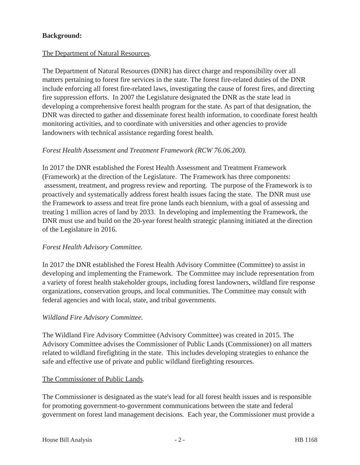# **Background:**

#### The Department of Natural Resources.

The Department of Natural Resources (DNR) has direct charge and responsibility over all matters pertaining to forest fire services in the state. The forest fire-related duties of the DNR include enforcing all forest fire-related laws, investigating the cause of forest fires, and directing fire suppression efforts. In 2007 the Legislature designated the DNR as the state lead in developing a comprehensive forest health program for the state. As part of that designation, the DNR was directed to gather and disseminate forest health information, to coordinate forest health monitoring activities, and to coordinate with universities and other agencies to provide landowners with technical assistance regarding forest health.

#### *Forest Health Assessment and Treatment Framework (RCW 76.06.200).*

In 2017 the DNR established the Forest Health Assessment and Treatment Framework (Framework) at the direction of the Legislature. The Framework has three components: assessment, treatment, and progress review and reporting. The purpose of the Framework is to proactively and systematically address forest health issues facing the state. The DNR must use the Framework to assess and treat fire prone lands each biennium, with a goal of assessing and treating 1 million acres of land by 2033. In developing and implementing the Framework, the DNR must use and build on the 20-year forest health strategic planning initiated at the direction of the Legislature in 2016.

#### *Forest Health Advisory Committee.*

In 2017 the DNR established the Forest Health Advisory Committee (Committee) to assist in developing and implementing the Framework. The Committee may include representation from a variety of forest health stakeholder groups, including forest landowners, wildland fire response organizations, conservation groups, and local communities. The Committee may consult with federal agencies and with local, state, and tribal governments.

#### *Wildland Fire Advisory Committee.*

The Wildland Fire Advisory Committee (Advisory Committee) was created in 2015. The Advisory Committee advises the Commissioner of Public Lands (Commissioner) on all matters related to wildland firefighting in the state. This includes developing strategies to enhance the safe and effective use of private and public wildland firefighting resources.

#### The Commissioner of Public Lands.

The Commissioner is designated as the state's lead for all forest health issues and is responsible for promoting government-to-government communications between the state and federal government on forest land management decisions. Each year, the Commissioner must provide a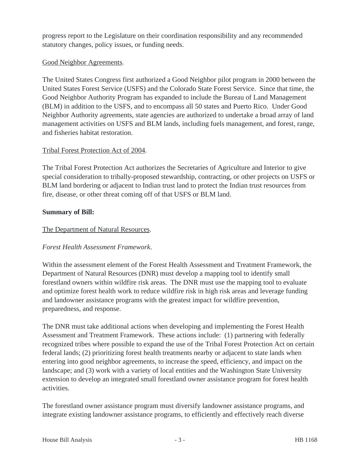progress report to the Legislature on their coordination responsibility and any recommended statutory changes, policy issues, or funding needs.

#### Good Neighbor Agreements.

The United States Congress first authorized a Good Neighbor pilot program in 2000 between the United States Forest Service (USFS) and the Colorado State Forest Service. Since that time, the Good Neighbor Authority Program has expanded to include the Bureau of Land Management (BLM) in addition to the USFS, and to encompass all 50 states and Puerto Rico. Under Good Neighbor Authority agreements, state agencies are authorized to undertake a broad array of land management activities on USFS and BLM lands, including fuels management, and forest, range, and fisheries habitat restoration.

# Tribal Forest Protection Act of 2004.

The Tribal Forest Protection Act authorizes the Secretaries of Agriculture and Interior to give special consideration to tribally-proposed stewardship, contracting, or other projects on USFS or BLM land bordering or adjacent to Indian trust land to protect the Indian trust resources from fire, disease, or other threat coming off of that USFS or BLM land.

# **Summary of Bill:**

# The Department of Natural Resources.

#### *Forest Health Assessment Framework*.

Within the assessment element of the Forest Health Assessment and Treatment Framework, the Department of Natural Resources (DNR) must develop a mapping tool to identify small forestland owners within wildfire risk areas. The DNR must use the mapping tool to evaluate and optimize forest health work to reduce wildfire risk in high risk areas and leverage funding and landowner assistance programs with the greatest impact for wildfire prevention, preparedness, and response.

The DNR must take additional actions when developing and implementing the Forest Health Assessment and Treatment Framework. These actions include: (1) partnering with federally recognized tribes where possible to expand the use of the Tribal Forest Protection Act on certain federal lands; (2) prioritizing forest health treatments nearby or adjacent to state lands when entering into good neighbor agreements, to increase the speed, efficiency, and impact on the landscape; and (3) work with a variety of local entities and the Washington State University extension to develop an integrated small forestland owner assistance program for forest health activities.

The forestland owner assistance program must diversify landowner assistance programs, and integrate existing landowner assistance programs, to efficiently and effectively reach diverse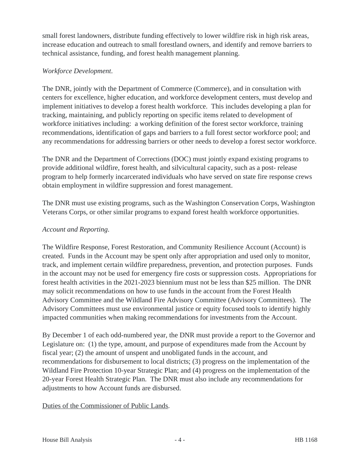small forest landowners, distribute funding effectively to lower wildfire risk in high risk areas, increase education and outreach to small forestland owners, and identify and remove barriers to technical assistance, funding, and forest health management planning.

#### *Workforce Development*.

The DNR, jointly with the Department of Commerce (Commerce), and in consultation with centers for excellence, higher education, and workforce development centers, must develop and implement initiatives to develop a forest health workforce. This includes developing a plan for tracking, maintaining, and publicly reporting on specific items related to development of workforce initiatives including: a working definition of the forest sector workforce, training recommendations, identification of gaps and barriers to a full forest sector workforce pool; and any recommendations for addressing barriers or other needs to develop a forest sector workforce.

The DNR and the Department of Corrections (DOC) must jointly expand existing programs to provide additional wildfire, forest health, and silvicultural capacity, such as a post- release program to help formerly incarcerated individuals who have served on state fire response crews obtain employment in wildfire suppression and forest management.

The DNR must use existing programs, such as the Washington Conservation Corps, Washington Veterans Corps, or other similar programs to expand forest health workforce opportunities.

# *Account and Reporting*.

The Wildfire Response, Forest Restoration, and Community Resilience Account (Account) is created. Funds in the Account may be spent only after appropriation and used only to monitor, track, and implement certain wildfire preparedness, prevention, and protection purposes. Funds in the account may not be used for emergency fire costs or suppression costs. Appropriations for forest health activities in the 2021-2023 biennium must not be less than \$25 million. The DNR may solicit recommendations on how to use funds in the account from the Forest Health Advisory Committee and the Wildland Fire Advisory Committee (Advisory Committees). The Advisory Committees must use environmental justice or equity focused tools to identify highly impacted communities when making recommendations for investments from the Account.

By December 1 of each odd-numbered year, the DNR must provide a report to the Governor and Legislature on: (1) the type, amount, and purpose of expenditures made from the Account by fiscal year; (2) the amount of unspent and unobligated funds in the account, and recommendations for disbursement to local districts; (3) progress on the implementation of the Wildland Fire Protection 10-year Strategic Plan; and (4) progress on the implementation of the 20-year Forest Health Strategic Plan. The DNR must also include any recommendations for adjustments to how Account funds are disbursed.

# Duties of the Commissioner of Public Lands.